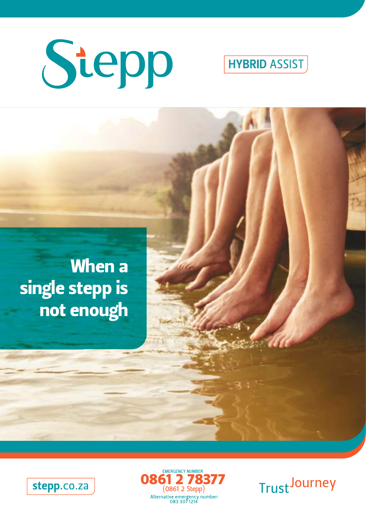

**HYBRID ASSIST** 







**Trust Journey**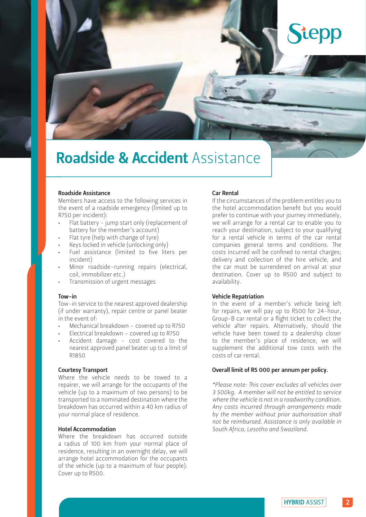# tepp

## Roadside & Accident Assistance

### Roadside Assistance

Members have access to the following services in the event of a roadside emergency (limited up to R750 per incident):

- Flat battery jump start only (replacement of battery for the member's account)
- Flat tyre (help with change of tyre)
- Keys locked in vehicle (unlocking only)
- Fuel assistance (limited to five liters per incident)
- Minor roadside–running repairs (electrical, coil, immobilizer etc.)
- Transmission of urgent messages

#### Tow-in

Tow-in service to the nearest approved dealership (if under warranty), repair centre or panel beater in the event of:

- Mechanical breakdown covered up to R750
- Electrical breakdown covered up to R750
- Accident damage cost covered to the nearest approved panel beater up to a limit of R1850

### Courtesy Transport

Where the vehicle needs to be towed to a repairer, we will arrange for the occupants of the vehicle (up to a maximum of two persons) to be transported to a nominated destination where the breakdown has occurred within a 40 km radius of your normal place of residence.

#### Hotel Accommodation

Where the breakdown has occurred outside a radius of 100 km from your normal place of residence, resulting in an overnight delay, we will arrange hotel accommodation for the occupants of the vehicle (up to a maximum of four people). Cover up to R500.

#### Car Rental

If the circumstances of the problem entitles you to the hotel accommodation benefit but you would prefer to continue with your journey immediately, we will arrange for a rental car to enable you to reach your destination, subject to your qualifying for a rental vehicle in terms of the car rental companies general terms and conditions. The costs incurred will be confined to rental charges; delivery and collection of the hire vehicle, and the car must be surrendered on arrival at your destination. Cover up to R500 and subject to availability.

#### Vehicle Repatriation

In the event of a member's vehicle being left for repairs, we will pay up to R500 for 24-hour, Group-B car rental or a flight ticket to collect the vehicle after repairs. Alternatively, should the vehicle have been towed to a dealership closer to the member's place of residence, we will supplement the additional tow costs with the costs of car rental.

#### Overall limit of R5 000 per annum per policy.

*\*Please note: This cover excludes all vehicles over 3 500kg. A member will not be entitled to service where the vehicle is not in a roadworthy condition. Any costs incurred through arrangements made by the member without prior authorisation shall not be reimbursed. Assistance is only available in South Africa, Lesotho and Swaziland.*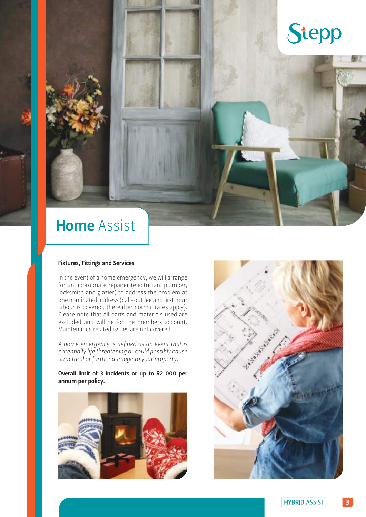## Stepp

### Home Assist

### Fixtures, Fittings and Services

In the event of a home emergency, we will arrange for an appropriate repairer (electrician, plumber, locksmith and glazier) to address the problem at one nominated address (call-out fee and first hour labour is covered, thereafter normal rates apply). Please note that all parts and materials used are excluded and will be for the members account. Maintenance related issues are not covered.

*A home emergency is defined as an event that is potentially life threatening or could possibly cause structural or further damage to your property.*

Overall limit of 3 incidents or up to R2 000 per annum per policy.



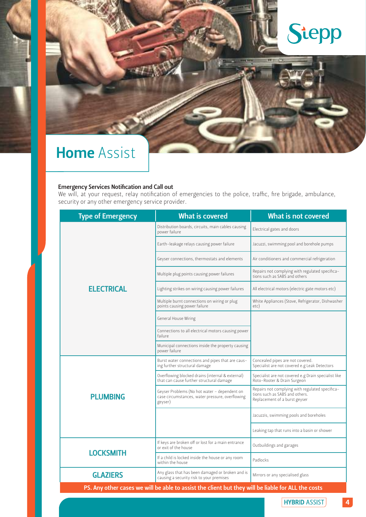

### Home Assist

#### Emergency Services Notification and Call out

We will, at your request, relay notification of emergencies to the police, traffic, fire brigade, ambulance, security or any other emergency service provider.

| <b>Type of Emergency</b> | <b>What is covered</b>                                                                                     | <b>What is not covered</b>                                                                                         |
|--------------------------|------------------------------------------------------------------------------------------------------------|--------------------------------------------------------------------------------------------------------------------|
| <b>ELECTRICAL</b>        | Distribution boards, circuits, main cables causing<br>power failure                                        | Electrical gates and doors                                                                                         |
|                          | Earth-leakage relays causing power failure                                                                 | Jacuzzi, swimming pool and borehole pumps                                                                          |
|                          | Geyser connections, thermostats and elements                                                               | Air conditioners and commercial refrigeration                                                                      |
|                          | Multiple plug points causing power failures                                                                | Repairs not complying with regulated specifica-<br>tions such as SABS and others                                   |
|                          | Lighting strikes on wiring causing power failures                                                          | All electrical motors (electric gate motors etc)                                                                   |
|                          | Multiple burnt connections on wiring or plug<br>points causing power failure                               | White Appliances (Stove, Refrigerator, Dishwasher<br>etc)                                                          |
|                          | General House Wiring                                                                                       |                                                                                                                    |
|                          | Connections to all electrical motors causing power<br>failure                                              |                                                                                                                    |
|                          | Municipal connections inside the property causing<br>power failure                                         |                                                                                                                    |
| <b>PLUMBING</b>          | Burst water connections and pipes that are caus-<br>ing further structural damage                          | Concealed pipes are not covered.<br>Specialist are not covered e.g Leak Detectors                                  |
|                          | Overflowing blocked drains (internal & external)<br>that can cause further structural damage               | Specialist are not covered e.g Drain specialist like<br>Roto-Rooter & Drain Surgeon                                |
|                          | Geyser Problems (No hot water - dependent on<br>case circumstances, water pressure, overflowing<br>geyser) | Repairs not complying with regulated specifica-<br>tions such as SABS and others.<br>Replacement of a burst geyser |
|                          |                                                                                                            | Jacuzzis, swimming pools and boreholes                                                                             |
|                          |                                                                                                            | Leaking tap that runs into a basin or shower                                                                       |
| <b>LOCKSMITH</b>         | If keys are broken off or lost for a main entrance<br>or exit of the house                                 | Outbuildings and garages                                                                                           |
|                          | If a child is locked inside the house or any room<br>within the house                                      | Padlocks                                                                                                           |
| <b>GLAZIERS</b>          | Any glass that has been damaged or broken and is<br>causing a security risk to your premises               | Mirrors or any specialised glass                                                                                   |
|                          | PS. Any other cases we will be able to assist the client but they will be liable for ALL the costs         |                                                                                                                    |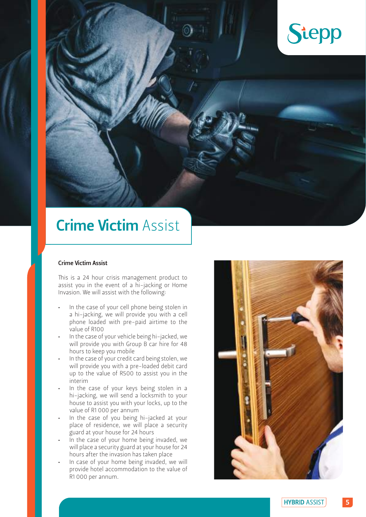

### Crime Victim Assist

### Crime Victim Assist

This is a 24 hour crisis management product to assist you in the event of a hi-jacking or Home Invasion. We will assist with the following:

- In the case of your cell phone being stolen in a hi-jacking, we will provide you with a cell phone loaded with pre-paid airtime to the value of R100
- In the case of your vehicle being hi-jacked, we will provide you with Group B car hire for 48 hours to keep you mobile
- In the case of your credit card being stolen, we will provide you with a pre-loaded debit card up to the value of R500 to assist you in the interim
- In the case of your keys being stolen in a hi-jacking, we will send a locksmith to your house to assist you with your locks, up to the value of R1 000 per annum
- In the case of you being hi-jacked at your place of residence, we will place a security guard at your house for 24 hours
- In the case of your home being invaded, we will place a security guard at your house for 24 hours after the invasion has taken place
- In case of your home being invaded, we will provide hotel accommodation to the value of R1 000 per annum.

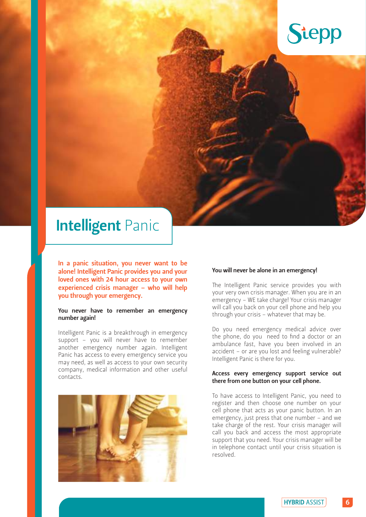

### **Intelligent Panic**

In a panic situation, you never want to be alone! Intelligent Panic provides you and your loved ones with 24 hour access to your own experienced crisis manager – who will help you through your emergency.

### You never have to remember an emergency number again!

Intelligent Panic is a breakthrough in emergency support – you will never have to remember another emergency number again. Intelligent Panic has access to every emergency service you may need, as well as access to your own security company, medical information and other useful contacts.



#### You will never be alone in an emergency!

The Intelligent Panic service provides you with your very own crisis manager. When you are in an emergency – WE take charge! Your crisis manager will call you back on your cell phone and help you through your crisis – whatever that may be.

Do you need emergency medical advice over the phone, do you need to find a doctor or an ambulance fast, have you been involved in an accident – or are you lost and feeling vulnerable? Intelligent Panic is there for you.

#### Access every emergency support service out there from one button on your cell phone.

To have access to Intelligent Panic, you need to register and then choose one number on your cell phone that acts as your panic button. In an emergency, just press that one number – and we take charge of the rest. Your crisis manager will call you back and access the most appropriate support that you need. Your crisis manager will be in telephone contact until your crisis situation is resolved.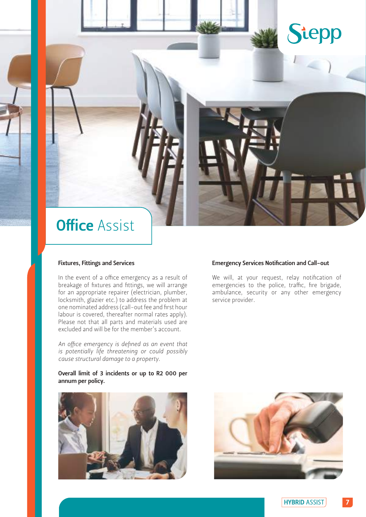

### **Office Assist**

### Fixtures, Fittings and Services

In the event of a office emergency as a result of breakage of fixtures and fittings, we will arrange for an appropriate repairer (electrician, plumber, locksmith, glazier etc.) to address the problem at one nominated address (call-out fee and first hour labour is covered, thereafter normal rates apply). Please not that all parts and materials used are excluded and will be for the member's account.

*An office emergency is defined as an event that is potentially life threatening or could possibly cause structural damage to a property.* 

### Overall limit of 3 incidents or up to R2 000 per annum per policy.



### Emergency Services Notification and Call-out

We will, at your request, relay notification of emergencies to the police, traffic, fire brigade, ambulance, security or any other emergency service provider.

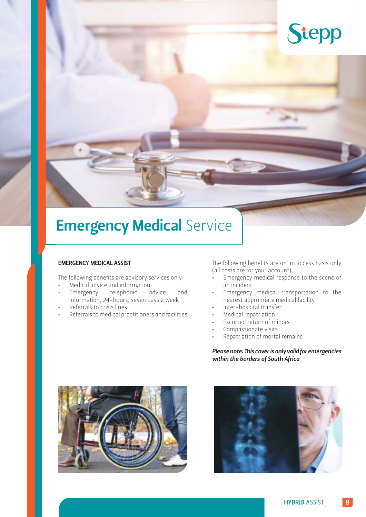

## **Emergency Medical Service**

### EMERGENCY MEDICAL ASSIST

The following benefits are advisory services only:

- Medical advice and information
- Emergency telephonic advice and information, 24-hours, seven days a week
- Referrals to crisis lines
- Referrals to medical practitioners and facilities

The following benefits are on an access basis only (all costs are for your account):

- Emergency medical response to the scene of an incident
- Emergency medical transportation to the nearest appropriate medical facility
- Inter-hospital transfer
- Medical repatriation
- Escorted return of minors
- Compassionate visits
- Repatriation of mortal remains

*Please note: This cover is only valid for emergencies within the borders of South Africa*



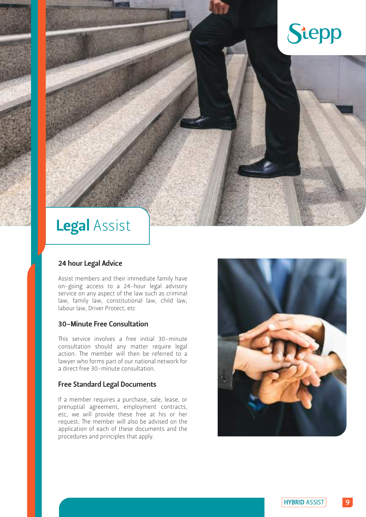## Stepp

### Legal Assist

### 24 hour Legal Advice

Assist members and their immediate family have on-going access to a 24-hour legal advisory service on any aspect of the law such as criminal law, family law, constitutional law, child law, labour law, Driver Protect, etc

### 30-Minute Free Consultation

This service involves a free initial 30-minute consultation should any matter require legal action. The member will then be referred to a lawyer who forms part of our national network for a direct free 30-minute consultation.

### Free Standard Legal Documents

If a member requires a purchase, sale, lease, or prenuptial agreement, employment contracts, etc, we will provide these free at his or her request. The member will also be advised on the application of each of these documents and the procedures and principles that apply.

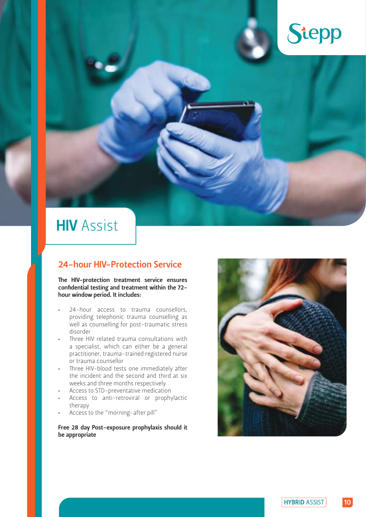

### **HIV** Assist

### 24-hour HIV-Protection Service

The HIV-protection treatment service ensures confidential testing and treatment within the 72 hour window period. It includes:

- 24-hour access to trauma counsellors, providing telephonic trauma counselling as well as counselling for post-traumatic stress disorder
- Three HIV related trauma consultations with a specialist, which can either be a general practitioner, trauma-trained registered nurse or trauma counsellor
- Three HIV-blood tests one immediately after the incident and the second and third at six weeks and three months respectively
- Access to STD-preventative medication
- Access to anti-retroviral or prophylactic therapy
- Access to the "morning-after pill"

### Free 28 day Post-exposure prophylaxis should it be appropriate

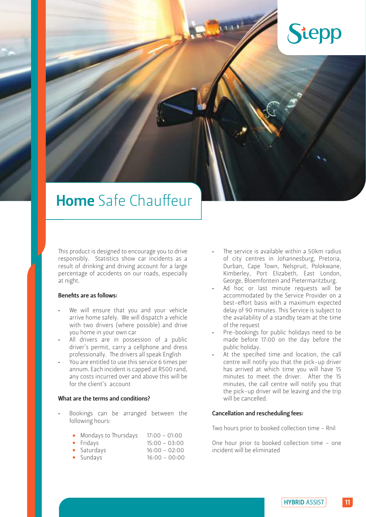

### Home Safe Chauffeur

This product is designed to encourage you to drive responsibly. Statistics show car incidents as a result of drinking and driving account for a large percentage of accidents on our roads, especially at night.

### Benefits are as follows:

- We will ensure that you and your vehicle arrive home safely. We will dispatch a vehicle with two drivers (where possible) and drive you home in your own car
- All drivers are in possession of a public driver's permit, carry a cellphone and dress professionally. The drivers all speak English
- You are entitled to use this service 6 times per annum. Each incident is capped at R500 rand, any costs incurred over and above this will be for the client's account

#### What are the terms and conditions?

- Bookings can be arranged between the following hours:
	- Mondays to Thursdays 17:00 01:00
	- Fridays 15:00 03:00
	- Saturdays 16:00 02:00
	- Sundays 16:00 00:00
- The service is available within a 50km radius of city centres in Johannesburg, Pretoria, Durban, Cape Town, Nelspruit, Polokwane, Kimberley, Port Elizabeth, East London, George, Bloemfontein and Pietermaritzburg.
- Ad hoc or last minute requests will be accommodated by the Service Provider on a best-effort basis with a maximum expected delay of 90 minutes. This Service is subject to the availability of a standby team at the time of the request
- Pre-bookings for public holidays need to be made before 17:00 on the day before the public holiday.
- At the specified time and location, the call centre will notify you that the pick-up driver has arrived at which time you will have 15 minutes to meet the driver. After the 15 minutes, the call centre will notify you that the pick-up driver will be leaving and the trip will be cancelled.

#### Cancellation and rescheduling fees:

Two hours prior to booked collection time – Rnil

One hour prior to booked collection time – one incident will be eliminated